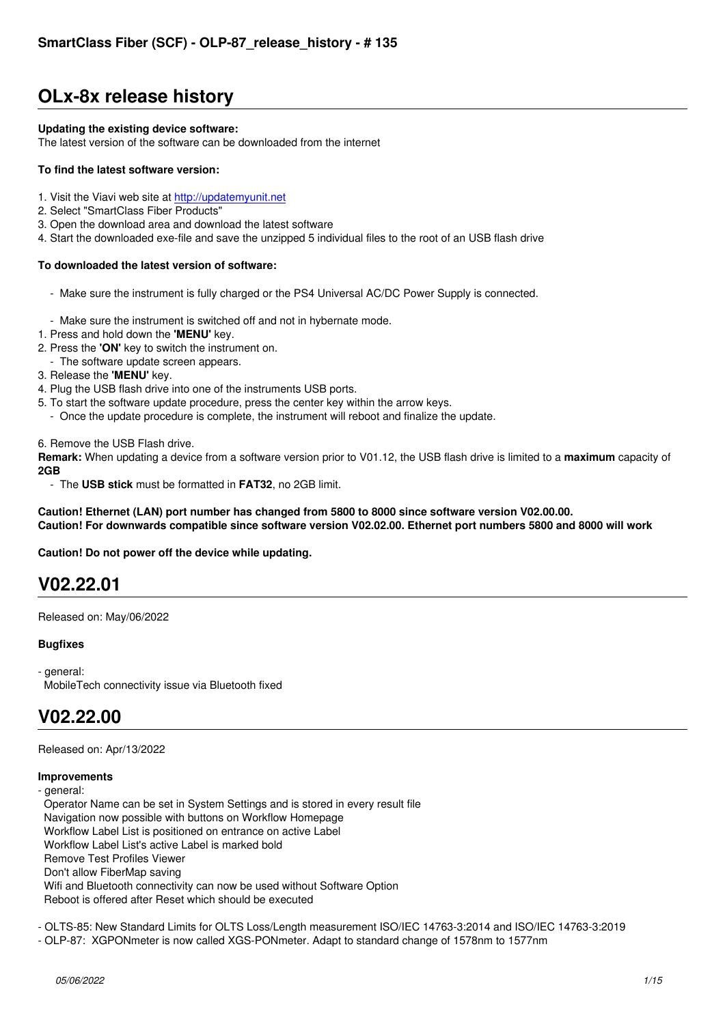# **OLx-8x release history**

#### **Updating the existing device software:**

The latest version of the software can be downloaded from the internet

#### **To find the latest software version:**

- 1. Visit the Viavi web site at http://updatemyunit.net
- 2. Select "SmartClass Fiber Products"
- 3. Open the download area and download the latest software
- 4. Start the downloaded exe-file and save the unzipped 5 individual files to the root of an USB flash drive

#### **To downloaded the latest [version of software:](http://updatemyunit.net)**

- Make sure the instrument is fully charged or the PS4 Universal AC/DC Power Supply is connected.
- Make sure the instrument is switched off and not in hybernate mode.
- 1. Press and hold down the **'MENU'** key.
- 2. Press the **'ON'** key to switch the instrument on.
- The software update screen appears.
- 3. Release the **'MENU'** key.
- 4. Plug the USB flash drive into one of the instruments USB ports.
- 5. To start the software update procedure, press the center key within the arrow keys.
- Once the update procedure is complete, the instrument will reboot and finalize the update.

6. Remove the USB Flash drive.

**Remark:** When updating a device from a software version prior to V01.12, the USB flash drive is limited to a **maximum** capacity of **2GB**

- The **USB stick** must be formatted in **FAT32**, no 2GB limit.

**Caution! Ethernet (LAN) port number has changed from 5800 to 8000 since software version V02.00.00. Caution! For downwards compatible since software version V02.02.00. Ethernet port numbers 5800 and 8000 will work**

**Caution! Do not power off the device while updating.**

### **V02.22.01**

Released on: May/06/2022

#### **Bugfixes**

- general: MobileTech connectivity issue via Bluetooth fixed

### **V02.22.00**

Released on: Apr/13/2022

#### **Improvements**

- general:

 Operator Name can be set in System Settings and is stored in every result file Navigation now possible with buttons on Workflow Homepage Workflow Label List is positioned on entrance on active Label Workflow Label List's active Label is marked bold Remove Test Profiles Viewer Don't allow FiberMap saving Wifi and Bluetooth connectivity can now be used without Software Option Reboot is offered after Reset which should be executed

- OLTS-85: New Standard Limits for OLTS Loss/Length measurement ISO/IEC 14763-3:2014 and ISO/IEC 14763-3:2019

- OLP-87: XGPONmeter is now called XGS-PONmeter. Adapt to standard change of 1578nm to 1577nm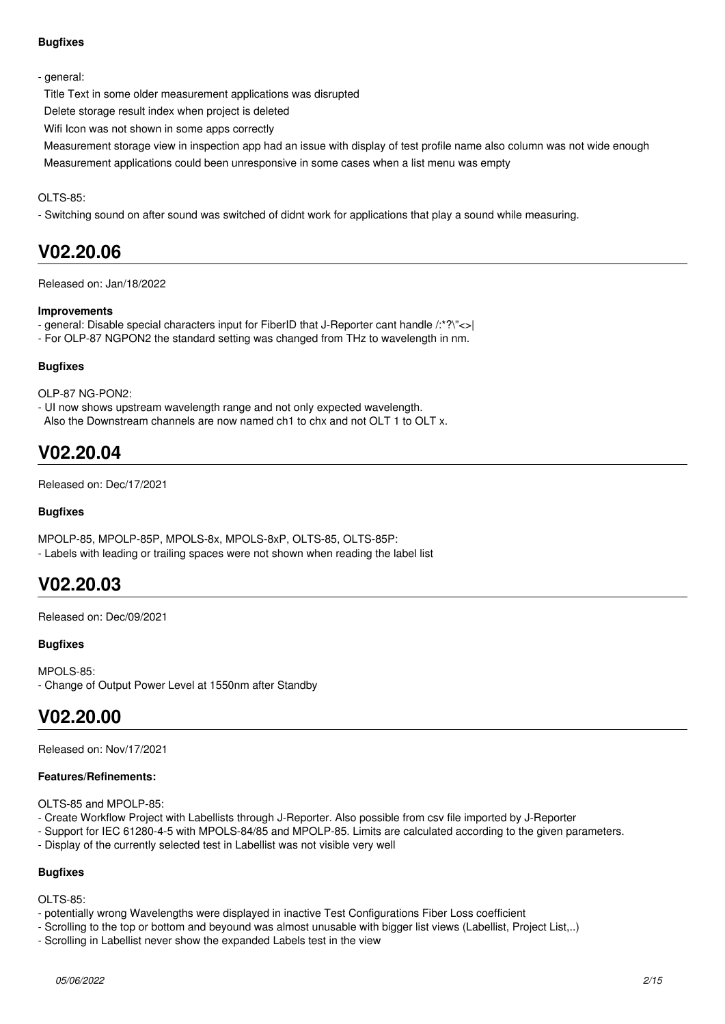#### **Bugfixes**

#### - general:

Title Text in some older measurement applications was disrupted

Delete storage result index when project is deleted

Wifi Icon was not shown in some apps correctly

 Measurement storage view in inspection app had an issue with display of test profile name also column was not wide enough Measurement applications could been unresponsive in some cases when a list menu was empty

#### OLTS-85:

- Switching sound on after sound was switched of didnt work for applications that play a sound while measuring.

### **V02.20.06**

Released on: Jan/18/2022

#### **Improvements**

- general: Disable special characters input for FiberID that J-Reporter cant handle /:\*?\"<>|
- For OLP-87 NGPON2 the standard setting was changed from THz to wavelength in nm.

#### **Bugfixes**

OLP-87 NG-PON2:

- UI now shows upstream wavelength range and not only expected wavelength.

Also the Downstream channels are now named ch1 to chx and not OLT 1 to OLT x.

### **V02.20.04**

Released on: Dec/17/2021

#### **Bugfixes**

MPOLP-85, MPOLP-85P, MPOLS-8x, MPOLS-8xP, OLTS-85, OLTS-85P: - Labels with leading or trailing spaces were not shown when reading the label list

### **V02.20.03**

Released on: Dec/09/2021

#### **Bugfixes**

MPOLS-85: - Change of Output Power Level at 1550nm after Standby

### **V02.20.00**

Released on: Nov/17/2021

#### **Features/Refinements:**

OLTS-85 and MPOLP-85:

- Create Workflow Project with Labellists through J-Reporter. Also possible from csv file imported by J-Reporter
- Support for IEC 61280-4-5 with MPOLS-84/85 and MPOLP-85. Limits are calculated according to the given parameters.
- Display of the currently selected test in Labellist was not visible very well

#### **Bugfixes**

OLTS-85:

- potentially wrong Wavelengths were displayed in inactive Test Configurations Fiber Loss coefficient
- Scrolling to the top or bottom and beyound was almost unusable with bigger list views (Labellist, Project List,..)
- Scrolling in Labellist never show the expanded Labels test in the view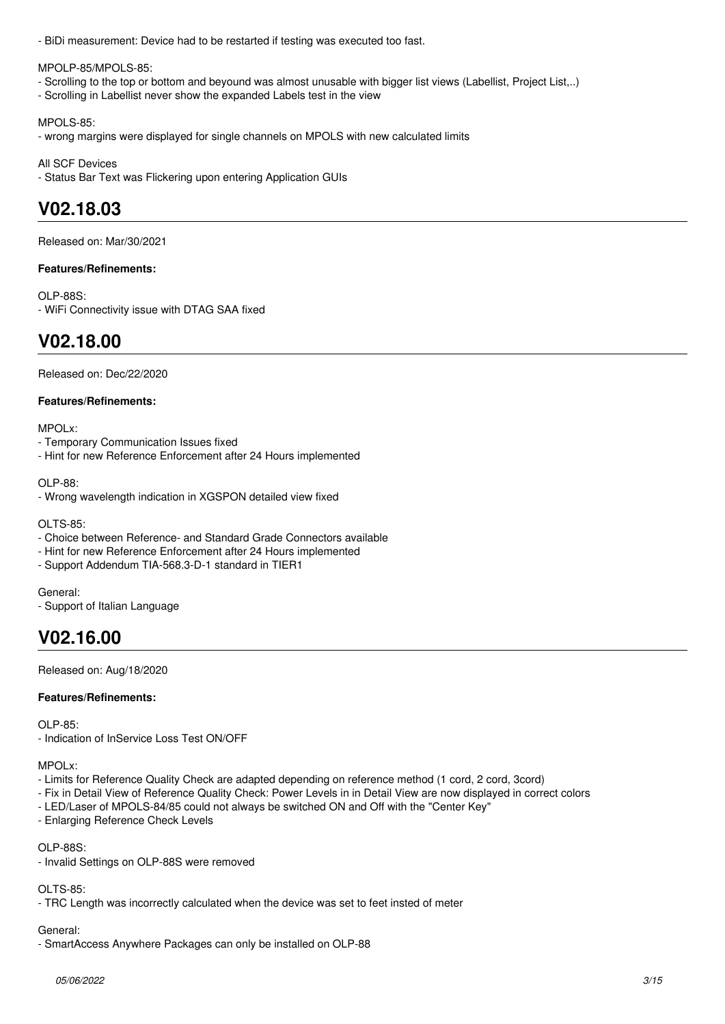- BiDi measurement: Device had to be restarted if testing was executed too fast.

MPOLP-85/MPOLS-85:

- Scrolling to the top or bottom and beyound was almost unusable with bigger list views (Labellist, Project List,..)
- Scrolling in Labellist never show the expanded Labels test in the view

MPOLS-85:

- wrong margins were displayed for single channels on MPOLS with new calculated limits

All SCF Devices

- Status Bar Text was Flickering upon entering Application GUIs

### **V02.18.03**

Released on: Mar/30/2021

#### **Features/Refinements:**

OLP-88S: - WiFi Connectivity issue with DTAG SAA fixed

### **V02.18.00**

Released on: Dec/22/2020

#### **Features/Refinements:**

MPOL<sub>x</sub><sup>.</sup>

- Temporary Communication Issues fixed
- Hint for new Reference Enforcement after 24 Hours implemented

OLP-88:

- Wrong wavelength indication in XGSPON detailed view fixed

OLTS-85:

- Choice between Reference- and Standard Grade Connectors available
- Hint for new Reference Enforcement after 24 Hours implemented
- Support Addendum TIA-568.3-D-1 standard in TIER1

General:

- Support of Italian Language

## **V02.16.00**

Released on: Aug/18/2020

#### **Features/Refinements:**

 $OLP-85$ 

- Indication of InService Loss Test ON/OFF

### MPOLx:

- Limits for Reference Quality Check are adapted depending on reference method (1 cord, 2 cord, 3cord)
- Fix in Detail View of Reference Quality Check: Power Levels in in Detail View are now displayed in correct colors
- LED/Laser of MPOLS-84/85 could not always be switched ON and Off with the "Center Key"
- Enlarging Reference Check Levels

### OLP-88S:

- Invalid Settings on OLP-88S were removed

### $OLI$  TQ  $85$

- TRC Length was incorrectly calculated when the device was set to feet insted of meter

### General:

- SmartAccess Anywhere Packages can only be installed on OLP-88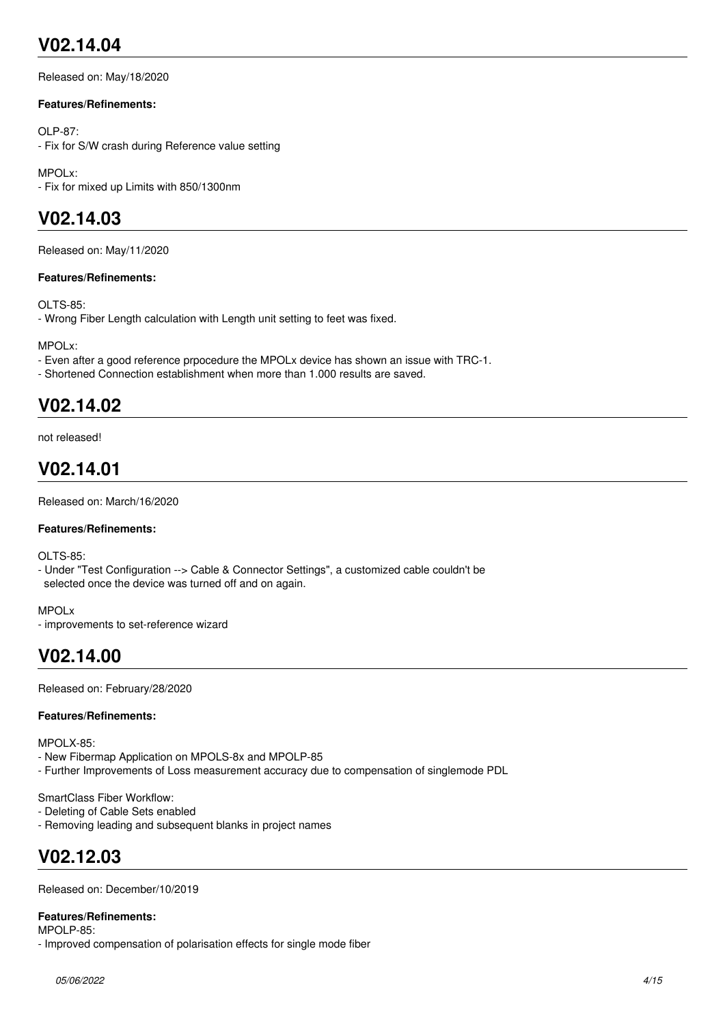# **V02.14.04**

Released on: May/18/2020

#### **Features/Refinements:**

OLP-87:

- Fix for S/W crash during Reference value setting

MPOLx: - Fix for mixed up Limits with 850/1300nm

## **V02.14.03**

Released on: May/11/2020

#### **Features/Refinements:**

OLTS-85:

- Wrong Fiber Length calculation with Length unit setting to feet was fixed.

MPOLx:

- Even after a good reference prpocedure the MPOLx device has shown an issue with TRC-1.
- Shortened Connection establishment when more than 1.000 results are saved.

## **V02.14.02**

not released!

## **V02.14.01**

Released on: March/16/2020

#### **Features/Refinements:**

OLTS-85:

- Under "Test Configuration --> Cable & Connector Settings", a customized cable couldn't be selected once the device was turned off and on again.

MPOLx

- improvements to set-reference wizard

### **V02.14.00**

Released on: February/28/2020

#### **Features/Refinements:**

MPOLX-85:

- New Fibermap Application on MPOLS-8x and MPOLP-85
- Further Improvements of Loss measurement accuracy due to compensation of singlemode PDL

#### SmartClass Fiber Workflow:

- Deleting of Cable Sets enabled

- Removing leading and subsequent blanks in project names

## **V02.12.03**

Released on: December/10/2019

#### **Features/Refinements:**

MPOLP-85:

- Improved compensation of polarisation effects for single mode fiber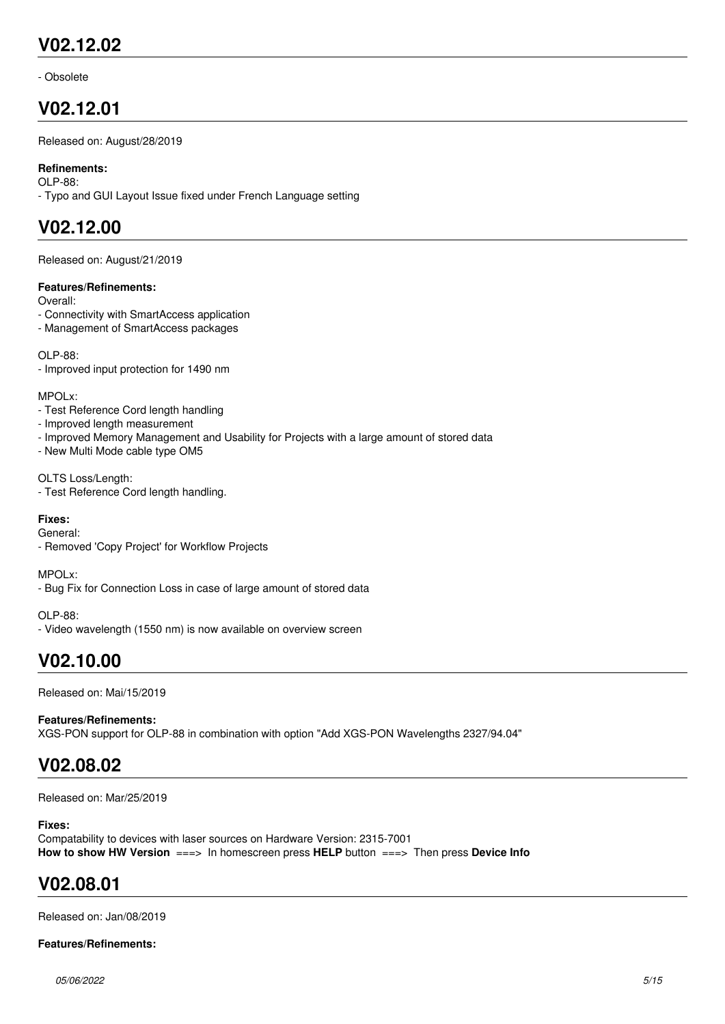### **V02.12.02**

- Obsolete

### **V02.12.01**

Released on: August/28/2019

#### **Refinements:**

OLP-88:

- Typo and GUI Layout Issue fixed under French Language setting

### **V02.12.00**

Released on: August/21/2019

#### **Features/Refinements:**

Overall:

- Connectivity with SmartAccess application
- Management of SmartAccess packages

OLP-88:

- Improved input protection for 1490 nm

MPOLx:

- Test Reference Cord length handling
- Improved length measurement
- Improved Memory Management and Usability for Projects with a large amount of stored data
- New Multi Mode cable type OM5

OLTS Loss/Length:

- Test Reference Cord length handling.

#### **Fixes:**

General:

- Removed 'Copy Project' for Workflow Projects

MPOLx:

- Bug Fix for Connection Loss in case of large amount of stored data

OLP-88: - Video wavelength (1550 nm) is now available on overview screen

## **V02.10.00**

Released on: Mai/15/2019

**Features/Refinements:** XGS-PON support for OLP-88 in combination with option "Add XGS-PON Wavelengths 2327/94.04"

### **V02.08.02**

Released on: Mar/25/2019

#### **Fixes:**

Compatability to devices with laser sources on Hardware Version: 2315-7001 **How to show HW Version** ===> In homescreen press **HELP** button ===> Then press **Device Info**

### **V02.08.01**

Released on: Jan/08/2019

#### **Features/Refinements:**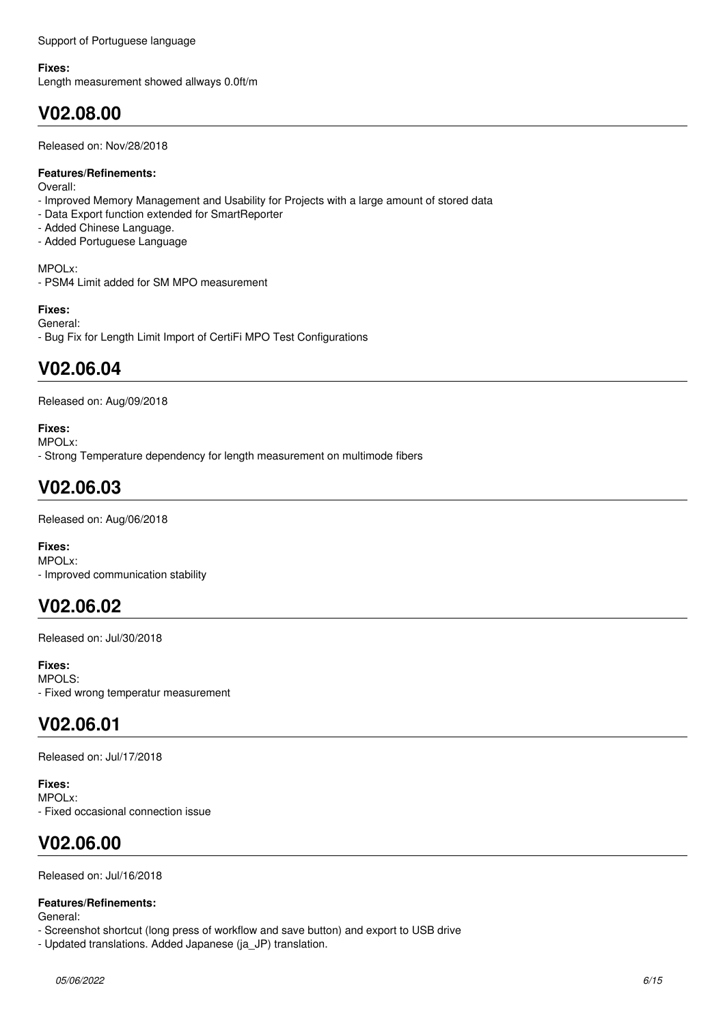Support of Portuguese language

#### **Fixes:**

Length measurement showed allways 0.0ft/m

## **V02.08.00**

Released on: Nov/28/2018

#### **Features/Refinements:**

Overall:

- Improved Memory Management and Usability for Projects with a large amount of stored data
- Data Export function extended for SmartReporter
- Added Chinese Language.
- Added Portuguese Language

MPOLx:

- PSM4 Limit added for SM MPO measurement

#### **Fixes:**

General:

- Bug Fix for Length Limit Import of CertiFi MPO Test Configurations

### **V02.06.04**

Released on: Aug/09/2018

#### **Fixes:**

MPOLx:

- Strong Temperature dependency for length measurement on multimode fibers

# **V02.06.03**

Released on: Aug/06/2018

**Fixes:** MPOLx: - Improved communication stability

### **V02.06.02**

Released on: Jul/30/2018

**Fixes:** MPOLS: - Fixed wrong temperatur measurement

# **V02.06.01**

Released on: Jul/17/2018

**Fixes:** MPOLx: - Fixed occasional connection issue

## **V02.06.00**

Released on: Jul/16/2018

### **Features/Refinements:**

General:

- Screenshot shortcut (long press of workflow and save button) and export to USB drive

- Updated translations. Added Japanese (ja\_JP) translation.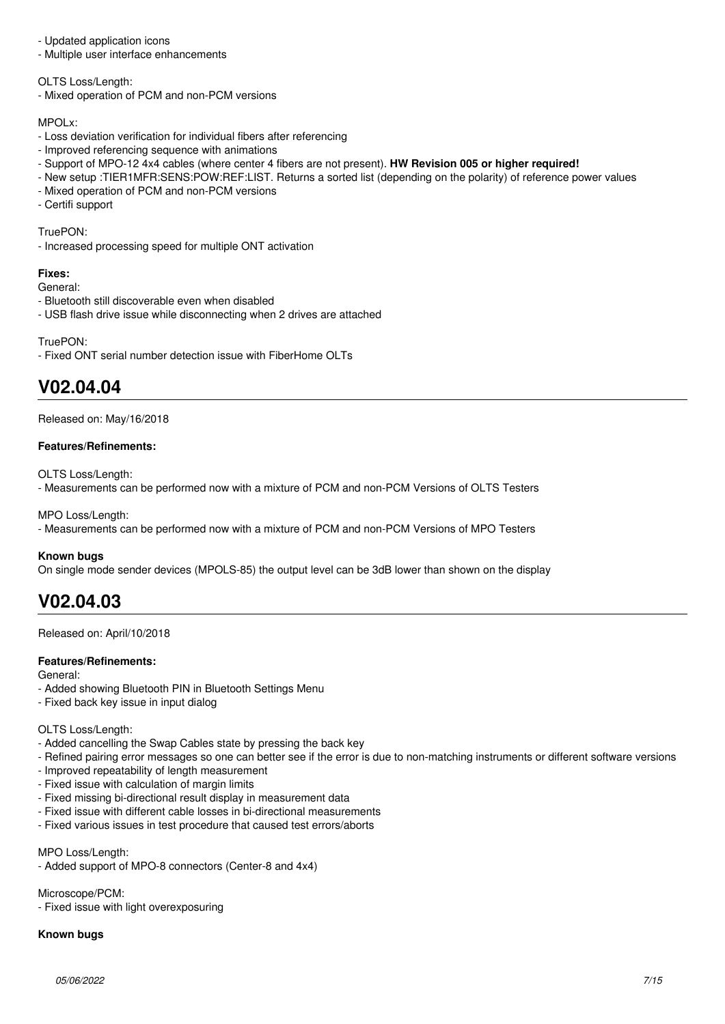- Updated application icons

- Multiple user interface enhancements

OLTS Loss/Length:

- Mixed operation of PCM and non-PCM versions

#### MPOLx:

- Loss deviation verification for individual fibers after referencing
- Improved referencing sequence with animations
- Support of MPO-12 4x4 cables (where center 4 fibers are not present). **HW Revision 005 or higher required!**
- New setup :TIER1MFR:SENS:POW:REF:LIST. Returns a sorted list (depending on the polarity) of reference power values
- Mixed operation of PCM and non-PCM versions
- Certifi support

#### TruePON:

- Increased processing speed for multiple ONT activation

#### **Fixes:**

General:

- Bluetooth still discoverable even when disabled
- USB flash drive issue while disconnecting when 2 drives are attached

TruePON:

- Fixed ONT serial number detection issue with FiberHome OLTs

## **V02.04.04**

Released on: May/16/2018

#### **Features/Refinements:**

OLTS Loss/Length:

- Measurements can be performed now with a mixture of PCM and non-PCM Versions of OLTS Testers

MPO Loss/Length:

- Measurements can be performed now with a mixture of PCM and non-PCM Versions of MPO Testers

#### **Known bugs**

On single mode sender devices (MPOLS-85) the output level can be 3dB lower than shown on the display

## **V02.04.03**

Released on: April/10/2018

#### **Features/Refinements:**

General:

- Added showing Bluetooth PIN in Bluetooth Settings Menu
- Fixed back key issue in input dialog

#### OLTS Loss/Length:

- Added cancelling the Swap Cables state by pressing the back key
- Refined pairing error messages so one can better see if the error is due to non-matching instruments or different software versions
- Improved repeatability of length measurement
- Fixed issue with calculation of margin limits
- Fixed missing bi-directional result display in measurement data
- Fixed issue with different cable losses in bi-directional measurements
- Fixed various issues in test procedure that caused test errors/aborts

MPO Loss/Length:

- Added support of MPO-8 connectors (Center-8 and 4x4)

Microscope/PCM:

- Fixed issue with light overexposuring

### **Known bugs**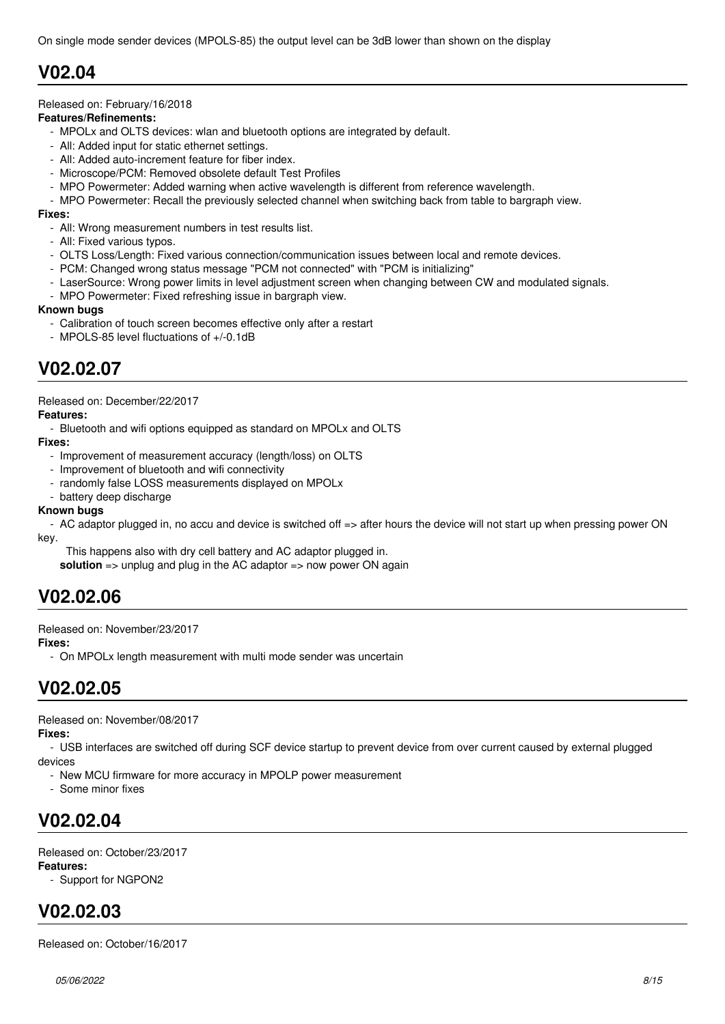### **V02.04**

#### Released on: February/16/2018

#### **Features/Refinements:**

- MPOLx and OLTS devices: wlan and bluetooth options are integrated by default.
- All: Added input for static ethernet settings.
- All: Added auto-increment feature for fiber index.
- Microscope/PCM: Removed obsolete default Test Profiles
- MPO Powermeter: Added warning when active wavelength is different from reference wavelength.
- MPO Powermeter: Recall the previously selected channel when switching back from table to bargraph view.

#### **Fixes:**

- All: Wrong measurement numbers in test results list.
- All: Fixed various typos.
- OLTS Loss/Length: Fixed various connection/communication issues between local and remote devices.
- PCM: Changed wrong status message "PCM not connected" with "PCM is initializing"
- LaserSource: Wrong power limits in level adjustment screen when changing between CW and modulated signals.
- MPO Powermeter: Fixed refreshing issue in bargraph view.

#### **Known bugs**

- Calibration of touch screen becomes effective only after a restart
- MPOLS-85 level fluctuations of +/-0.1dB

### **V02.02.07**

Released on: December/22/2017

#### **Features:**

- Bluetooth and wifi options equipped as standard on MPOLx and OLTS

#### **Fixes:**

- Improvement of measurement accuracy (length/loss) on OLTS
- Improvement of bluetooth and wifi connectivity
- randomly false LOSS measurements displayed on MPOLx
- battery deep discharge

#### **Known bugs**

 - AC adaptor plugged in, no accu and device is switched off => after hours the device will not start up when pressing power ON key.

This happens also with dry cell battery and AC adaptor plugged in.

**solution** => unplug and plug in the AC adaptor => now power ON again

### **V02.02.06**

Released on: November/23/2017

#### **Fixes:**

- On MPOLx length measurement with multi mode sender was uncertain

### **V02.02.05**

Released on: November/08/2017

#### **Fixes:**

 - USB interfaces are switched off during SCF device startup to prevent device from over current caused by external plugged devices

- New MCU firmware for more accuracy in MPOLP power measurement
- Some minor fixes

## **V02.02.04**

Released on: October/23/2017

#### **Features:**

- Support for NGPON2

## **V02.02.03**

Released on: October/16/2017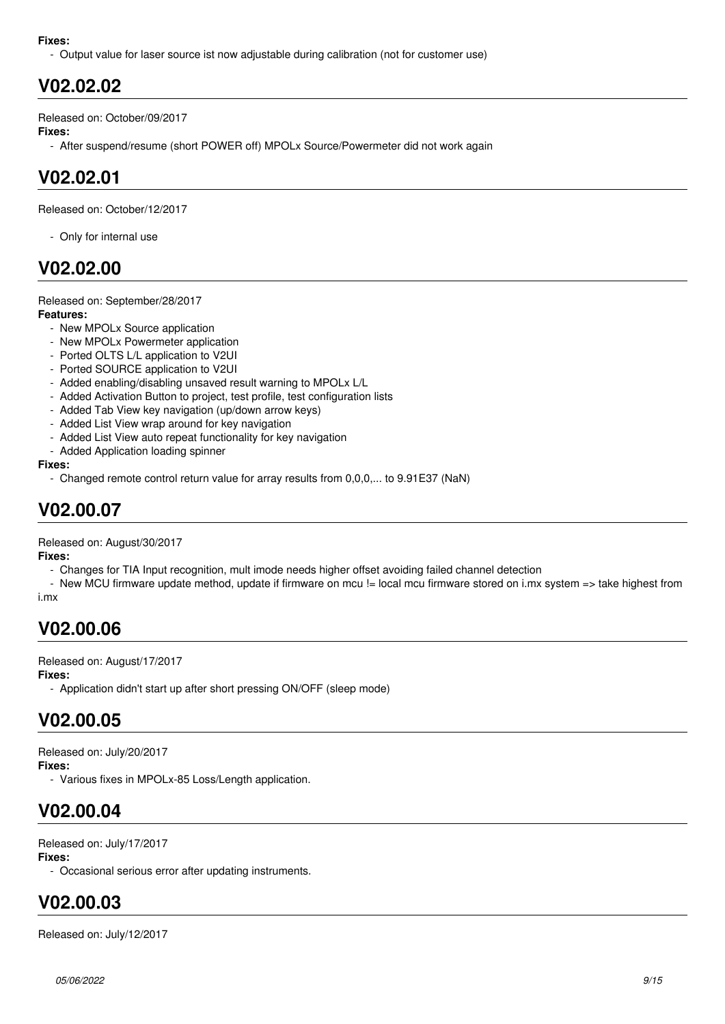#### **Fixes:**

- Output value for laser source ist now adjustable during calibration (not for customer use)

### **V02.02.02**

Released on: October/09/2017

#### **Fixes:**

- After suspend/resume (short POWER off) MPOLx Source/Powermeter did not work again

### **V02.02.01**

Released on: October/12/2017

- Only for internal use

### **V02.02.00**

### Released on: September/28/2017

**Features:**

- New MPOLx Source application
- New MPOLx Powermeter application
- Ported OLTS L/L application to V2UI
- Ported SOURCE application to V2UI
- Added enabling/disabling unsaved result warning to MPOLx L/L
- Added Activation Button to project, test profile, test configuration lists
- Added Tab View key navigation (up/down arrow keys)
- Added List View wrap around for key navigation
- Added List View auto repeat functionality for key navigation
- Added Application loading spinner

#### **Fixes:**

- Changed remote control return value for array results from 0,0,0,... to 9.91E37 (NaN)

### **V02.00.07**

Released on: August/30/2017

**Fixes:**

- Changes for TIA Input recognition, mult imode needs higher offset avoiding failed channel detection

- New MCU firmware update method, update if firmware on mcu != local mcu firmware stored on i.mx system => take highest from i.mx

### **V02.00.06**

Released on: August/17/2017

#### **Fixes:**

- Application didn't start up after short pressing ON/OFF (sleep mode)

### **V02.00.05**

Released on: July/20/2017

**Fixes:**

- Various fixes in MPOLx-85 Loss/Length application.

## **V02.00.04**

Released on: July/17/2017

#### **Fixes:**

- Occasional serious error after updating instruments.

## **V02.00.03**

Released on: July/12/2017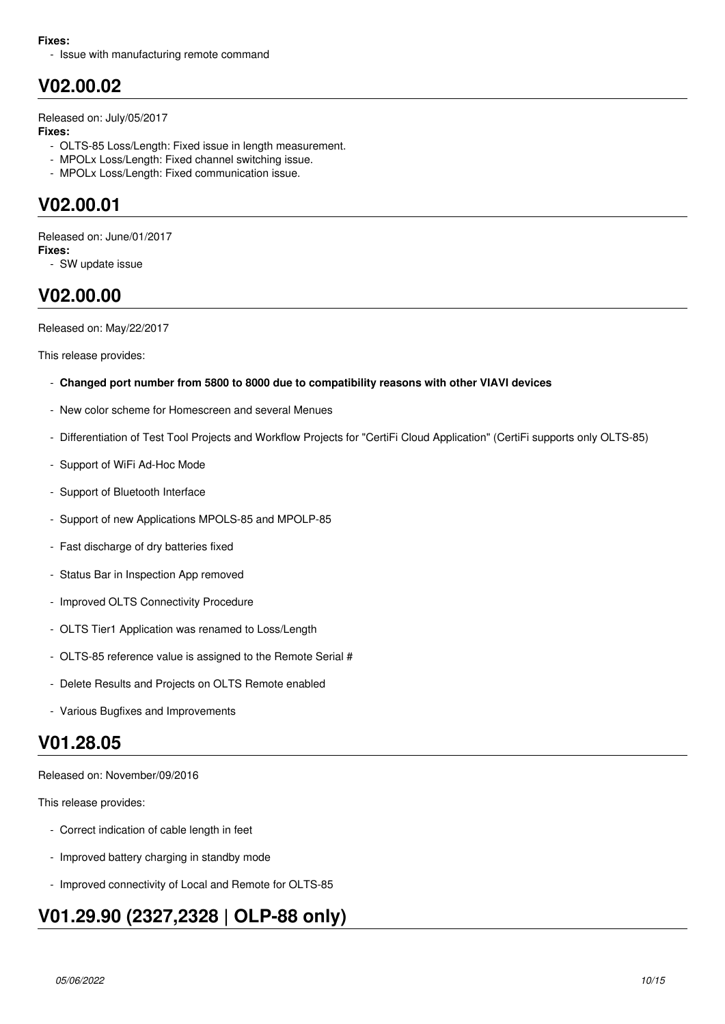#### **Fixes:**

- Issue with manufacturing remote command

# **V02.00.02**

Released on: July/05/2017

#### **Fixes:**

- OLTS-85 Loss/Length: Fixed issue in length measurement.
- MPOLx Loss/Length: Fixed channel switching issue.
- MPOLx Loss/Length: Fixed communication issue.

### **V02.00.01**

Released on: June/01/2017 **Fixes:**

- SW update issue

## **V02.00.00**

Released on: May/22/2017

This release provides:

- **Changed port number from 5800 to 8000 due to compatibility reasons with other VIAVI devices**
- New color scheme for Homescreen and several Menues
- Differentiation of Test Tool Projects and Workflow Projects for "CertiFi Cloud Application" (CertiFi supports only OLTS-85)
- Support of WiFi Ad-Hoc Mode
- Support of Bluetooth Interface
- Support of new Applications MPOLS-85 and MPOLP-85
- Fast discharge of dry batteries fixed
- Status Bar in Inspection App removed
- Improved OLTS Connectivity Procedure
- OLTS Tier1 Application was renamed to Loss/Length
- OLTS-85 reference value is assigned to the Remote Serial #
- Delete Results and Projects on OLTS Remote enabled
- Various Bugfixes and Improvements

### **V01.28.05**

Released on: November/09/2016

This release provides:

- Correct indication of cable length in feet
- Improved battery charging in standby mode
- Improved connectivity of Local and Remote for OLTS-85

# **V01.29.90 (2327,2328 | OLP-88 only)**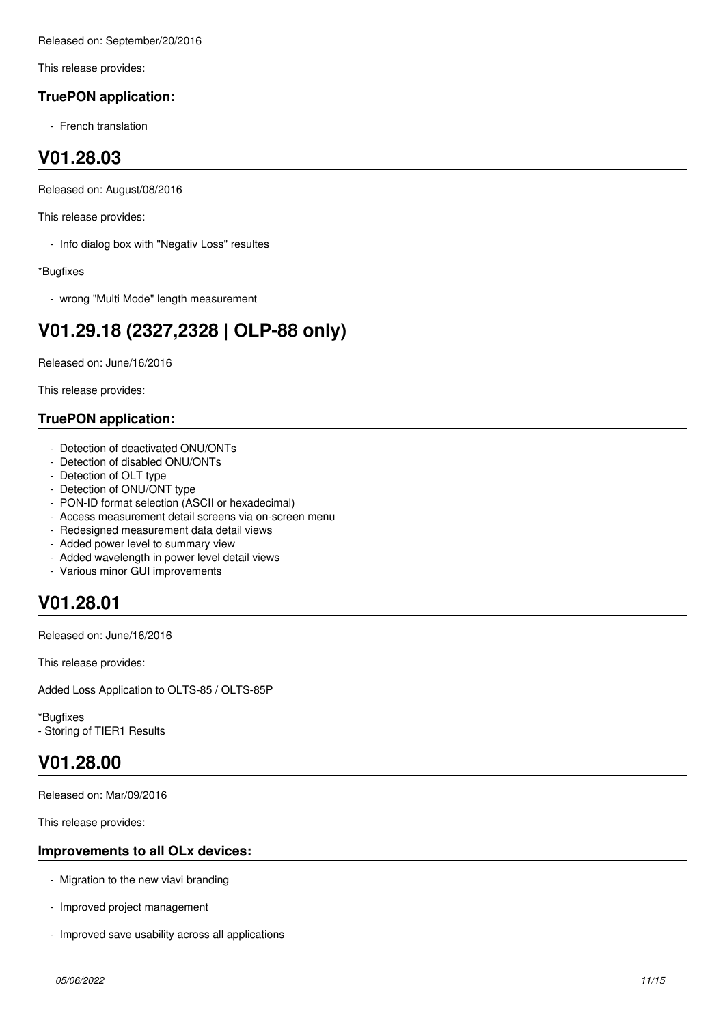This release provides:

### **TruePON application:**

- French translation

### **V01.28.03**

Released on: August/08/2016

This release provides:

- Info dialog box with "Negativ Loss" resultes

\*Bugfixes

- wrong "Multi Mode" length measurement

# **V01.29.18 (2327,2328 | OLP-88 only)**

Released on: June/16/2016

This release provides:

### **TruePON application:**

- Detection of deactivated ONU/ONTs
- Detection of disabled ONU/ONTs
- Detection of OLT type
- Detection of ONU/ONT type
- PON-ID format selection (ASCII or hexadecimal)
- Access measurement detail screens via on-screen menu
- Redesigned measurement data detail views
- Added power level to summary view
- Added wavelength in power level detail views
- Various minor GUI improvements

## **V01.28.01**

Released on: June/16/2016

This release provides:

Added Loss Application to OLTS-85 / OLTS-85P

\*Bugfixes - Storing of TIER1 Results

### **V01.28.00**

Released on: Mar/09/2016

This release provides:

### **Improvements to all OLx devices:**

- Migration to the new viavi branding
- Improved project management
- Improved save usability across all applications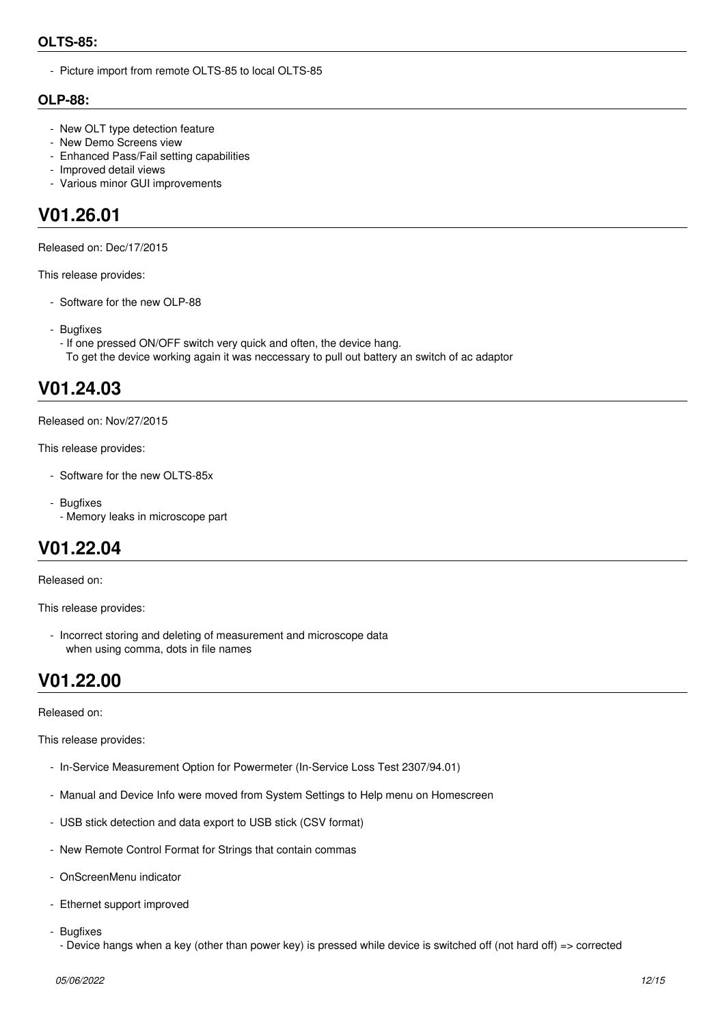### **OLTS-85:**

- Picture import from remote OLTS-85 to local OLTS-85

### **OLP-88:**

- New OLT type detection feature
- New Demo Screens view
- Enhanced Pass/Fail setting capabilities
- Improved detail views
- Various minor GUI improvements

### **V01.26.01**

Released on: Dec/17/2015

This release provides:

- Software for the new OLP-88
- Bugfixes
- If one pressed ON/OFF switch very quick and often, the device hang. To get the device working again it was neccessary to pull out battery an switch of ac adaptor

### **V01.24.03**

Released on: Nov/27/2015

This release provides:

- Software for the new OLTS-85x
- Bugfixes - Memory leaks in microscope part

### **V01.22.04**

Released on:

This release provides:

 - Incorrect storing and deleting of measurement and microscope data when using comma, dots in file names

### **V01.22.00**

Released on:

This release provides:

- In-Service Measurement Option for Powermeter (In-Service Loss Test 2307/94.01)
- Manual and Device Info were moved from System Settings to Help menu on Homescreen
- USB stick detection and data export to USB stick (CSV format)
- New Remote Control Format for Strings that contain commas
- OnScreenMenu indicator
- Ethernet support improved
- Bugfixes
	- Device hangs when a key (other than power key) is pressed while device is switched off (not hard off) => corrected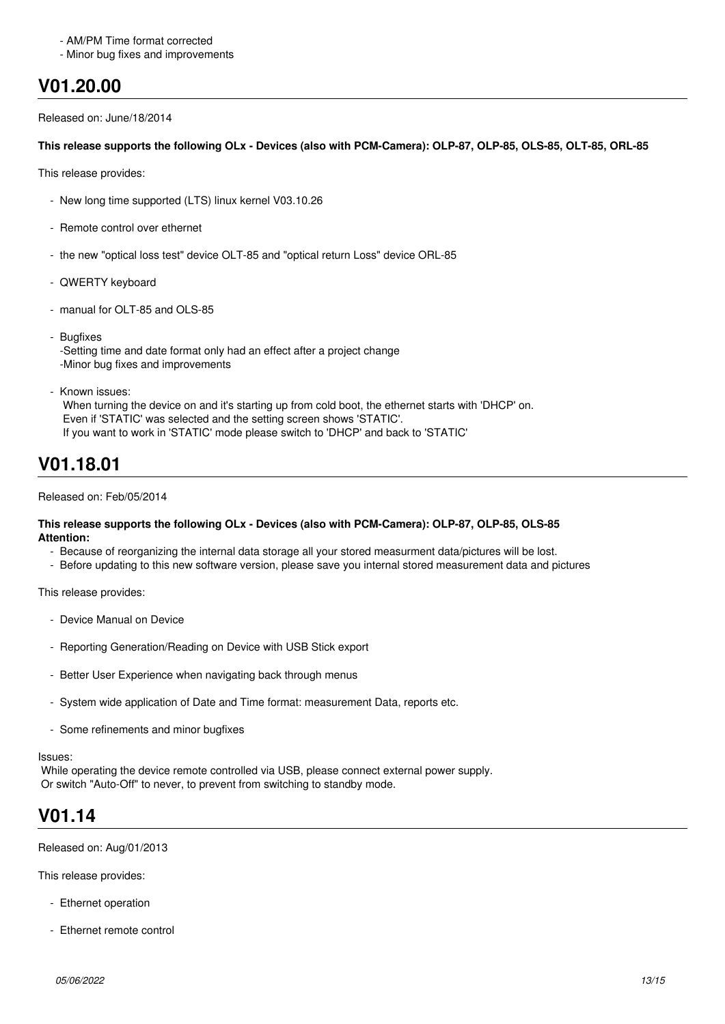#### - AM/PM Time format corrected

- Minor bug fixes and improvements

### **V01.20.00**

Released on: June/18/2014

#### **This release supports the following OLx - Devices (also with PCM-Camera): OLP-87, OLP-85, OLS-85, OLT-85, ORL-85**

This release provides:

- New long time supported (LTS) linux kernel V03.10.26
- Remote control over ethernet
- the new "optical loss test" device OLT-85 and "optical return Loss" device ORL-85
- QWERTY keyboard
- manual for OLT-85 and OLS-85
- Bugfixes -Setting time and date format only had an effect after a project change -Minor bug fixes and improvements
- Known issues:

When turning the device on and it's starting up from cold boot, the ethernet starts with 'DHCP' on. Even if 'STATIC' was selected and the setting screen shows 'STATIC'. If you want to work in 'STATIC' mode please switch to 'DHCP' and back to 'STATIC'

### **V01.18.01**

#### Released on: Feb/05/2014

#### **This release supports the following OLx - Devices (also with PCM-Camera): OLP-87, OLP-85, OLS-85 Attention:**

- Because of reorganizing the internal data storage all your stored measurment data/pictures will be lost.
- Before updating to this new software version, please save you internal stored measurement data and pictures

This release provides:

- Device Manual on Device
- Reporting Generation/Reading on Device with USB Stick export
- Better User Experience when navigating back through menus
- System wide application of Date and Time format: measurement Data, reports etc.
- Some refinements and minor bugfixes

Issues:

 While operating the device remote controlled via USB, please connect external power supply. Or switch "Auto-Off" to never, to prevent from switching to standby mode.

### **V01.14**

Released on: Aug/01/2013

This release provides:

- Ethernet operation
- Ethernet remote control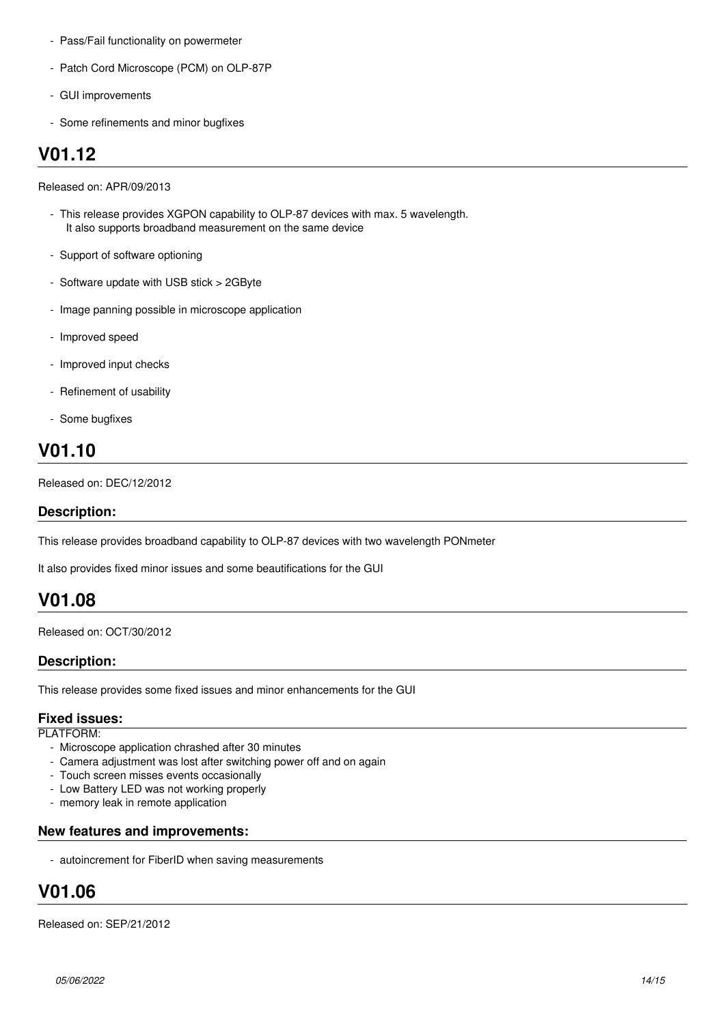- Pass/Fail functionality on powermeter
- Patch Cord Microscope (PCM) on OLP-87P
- GUI improvements
- Some refinements and minor bugfixes

# **V01.12**

Released on: APR/09/2013

- This release provides XGPON capability to OLP-87 devices with max. 5 wavelength. It also supports broadband measurement on the same device
- Support of software optioning
- Software update with USB stick > 2GByte
- Image panning possible in microscope application
- Improved speed
- Improved input checks
- Refinement of usability
- Some bugfixes

# **V01.10**

Released on: DEC/12/2012

### **Description:**

This release provides broadband capability to OLP-87 devices with two wavelength PONmeter

It also provides fixed minor issues and some beautifications for the GUI

## **V01.08**

Released on: OCT/30/2012

### **Description:**

This release provides some fixed issues and minor enhancements for the GUI

### **Fixed issues:**

PLATFORM:

- Microscope application chrashed after 30 minutes
- Camera adjustment was lost after switching power off and on again
- Touch screen misses events occasionally
- Low Battery LED was not working properly
- memory leak in remote application

### **New features and improvements:**

- autoincrement for FiberID when saving measurements

# **V01.06**

Released on: SEP/21/2012